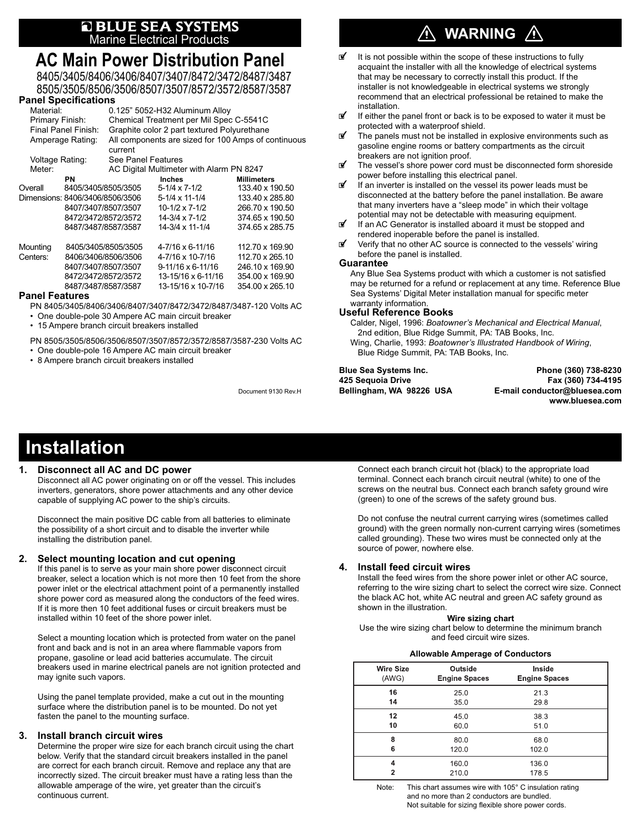# **Q BLUE SEA SYSTEMS**<br>Marine Electrical Products

## **AC Main Power Distribution Panel**

8405/3405/8406/3406/8407/3407/8472/3472/8487/3487 8505/3505/8506/3506/8507/3507/8572/3572/8587/3587

## **Panel Specifications**

| <u>ι αποι σρονιπνατισιμ</u>     |                     |                                                                |                          |                    |  |
|---------------------------------|---------------------|----------------------------------------------------------------|--------------------------|--------------------|--|
| Material:                       |                     | 0.125" 5052-H32 Aluminum Alloy                                 |                          |                    |  |
| Primary Finish:                 |                     | Chemical Treatment per Mil Spec C-5541C                        |                          |                    |  |
| Final Panel Finish:             |                     | Graphite color 2 part textured Polyurethane                    |                          |                    |  |
| Amperage Rating:                |                     | All components are sized for 100 Amps of continuous<br>current |                          |                    |  |
| Voltage Rating:                 |                     | See Panel Features                                             |                          |                    |  |
| Meter:                          |                     | AC Digital Multimeter with Alarm PN 8247                       |                          |                    |  |
|                                 | PN                  |                                                                | <b>Inches</b>            | <b>Millimeters</b> |  |
| Overall                         | 8405/3405/8505/3505 |                                                                | 5-1/4 x 7-1/2            | 133.40 x 190.50    |  |
| Dimensions: 8406/3406/8506/3506 |                     |                                                                | 5-1/4 x 11-1/4           | 133.40 x 285.80    |  |
|                                 | 8407/3407/8507/3507 |                                                                | $10-1/2 \times 7-1/2$    | 266.70 x 190.50    |  |
|                                 | 8472/3472/8572/3572 |                                                                | 14-3/4 x 7-1/2           | 374.65 x 190.50    |  |
|                                 | 8487/3487/8587/3587 |                                                                | 14-3/4 x 11-1/4          | 374.65 x 285.75    |  |
| Mounting                        |                     | 8405/3405/8505/3505                                            | 4-7/16 x 6-11/16         | 112.70 x 169.90    |  |
| Centers:                        | 8406/3406/8506/3506 |                                                                | 4-7/16 x 10-7/16         | 112.70 x 265.10    |  |
|                                 | 8407/3407/8507/3507 |                                                                | $9-11/16 \times 6-11/16$ | 246.10 x 169.90    |  |
|                                 | 8472/3472/8572/3572 |                                                                | 13-15/16 x 6-11/16       | 354.00 x 169.90    |  |
|                                 | 8487/3487/8587/3587 |                                                                | 13-15/16 x 10-7/16       | 354.00 x 265.10    |  |
| <b>Panol Foaturos</b>           |                     |                                                                |                          |                    |  |

## **Panel Features**

PN 8405/3405/8406/3406/8407/3407/8472/3472/8487/3487-120 Volts AC

- One double-pole 30 Ampere AC main circuit breaker
- 15 Ampere branch circuit breakers installed

PN 8505/3505/8506/3506/8507/3507/8572/3572/8587/3587-230 Volts AC

• One double-pole 16 Ampere AC main circuit breaker

• 8 Ampere branch circuit breakers installed

Document 9130 Rev.H

## **WARNING**

- It is not possible within the scope of these instructions to fully acquaint the installer with all the knowledge of electrical systems that may be necessary to correctly install this product. If the installer is not knowledgeable in electrical systems we strongly recommend that an electrical professional be retained to make the installation.<br>If either the
- If either the panel front or back is to be exposed to water it must be protected with a waterproof shield.
- The panels must not be installed in explosive environments such as gasoline engine rooms or battery compartments as the circuit breakers are not ignition proof.<br>
The vessel's shore power cord
- The vessel's shore power cord must be disconnected form shoreside power before installing this electrical panel.
- *f* If an inverter is installed on the vessel its power leads must be disconnected at the battery before the panel installation. Be aware that many inverters have a "sleep mode" in which their voltage potential may not be detectable with measuring equipment.
- If an AC Generator is installed aboard it must be stopped and rendered inoperable before the panel is installed.<br> **If** Verify that no other AC source is connected to the
- Verify that no other AC source is connected to the vessels' wiring before the panel is installed.

### **Guarantee**

Any Blue Sea Systems product with which a customer is not satisfied may be returned for a refund or replacement at any time. Reference Blue Sea Systems' Digital Meter installation manual for specific meter warranty information.

#### **Useful Reference Books**

Calder, Nigel, 1996: *Boatowner's Mechanical and Electrical Manual*, 2nd edition, Blue Ridge Summit, PA: TAB Books, Inc. Wing, Charlie, 1993: *Boatowner's Illustrated Handbook of Wiring*, Blue Ridge Summit, PA: TAB Books, Inc.

**Blue Sea Systems Inc. Phone (360) 738-8230 425 Sequoia Drive Fax (360) 734-4195 E-mail conductor@bluesea.com www.bluesea.com**

## **Installation**

#### **1. Disconnect all AC and DC power**

 Disconnect all AC power originating on or off the vessel. This includes inverters, generators, shore power attachments and any other device capable of supplying AC power to the ship's circuits.

 Disconnect the main positive DC cable from all batteries to eliminate the possibility of a short circuit and to disable the inverter while installing the distribution panel.

## **2. Select mounting location and cut opening**

 If this panel is to serve as your main shore power disconnect circuit breaker, select a location which is not more then 10 feet from the shore power inlet or the electrical attachment point of a permanently installed shore power cord as measured along the conductors of the feed wires. If it is more then 10 feet additional fuses or circuit breakers must be installed within 10 feet of the shore power inlet.

 Select a mounting location which is protected from water on the panel front and back and is not in an area where flammable vapors from propane, gasoline or lead acid batteries accumulate. The circuit breakers used in marine electrical panels are not ignition protected and may ignite such vapors.

 Using the panel template provided, make a cut out in the mounting surface where the distribution panel is to be mounted. Do not yet fasten the panel to the mounting surface.

#### **3. Install branch circuit wires**

 Determine the proper wire size for each branch circuit using the chart below. Verify that the standard circuit breakers installed in the panel are correct for each branch circuit. Remove and replace any that are incorrectly sized. The circuit breaker must have a rating less than the allowable amperage of the wire, yet greater than the circuit's continuous current.

 Connect each branch circuit hot (black) to the appropriate load terminal. Connect each branch circuit neutral (white) to one of the screws on the neutral bus. Connect each branch safety ground wire (green) to one of the screws of the safety ground bus.

 Do not confuse the neutral current carrying wires (sometimes called ground) with the green normally non-current carrying wires (sometimes called grounding). These two wires must be connected only at the source of power, nowhere else.

## **4. Install feed circuit wires**

 Install the feed wires from the shore power inlet or other AC source, referring to the wire sizing chart to select the correct wire size. Connect the black AC hot, white AC neutral and green AC safety ground as shown in the illustration.

#### **Wire sizing chart**

Use the wire sizing chart below to determine the minimum branch and feed circuit wire sizes.

#### **Allowable Amperage of Conductors**

| <b>Wire Size</b> | Outside              | <b>Inside</b>        |
|------------------|----------------------|----------------------|
| (AWG)            | <b>Engine Spaces</b> | <b>Engine Spaces</b> |
| 16               | 25.0                 | 21.3                 |
| 14               | 35.0                 | 29.8                 |
| 12               | 45.0                 | 38.3                 |
| 10               | 60.0                 | 51.0                 |
| 8                | 80.0                 | 68.0                 |
| 6                | 120.0                | 102.0                |
| 4                | 1600                 | 136.0                |
| 2                | 210.0                | 178.5                |

Note: This chart assumes wire with 105° C insulation rating and no more than 2 conductors are bundled. Not suitable for sizing flexible shore power cords.